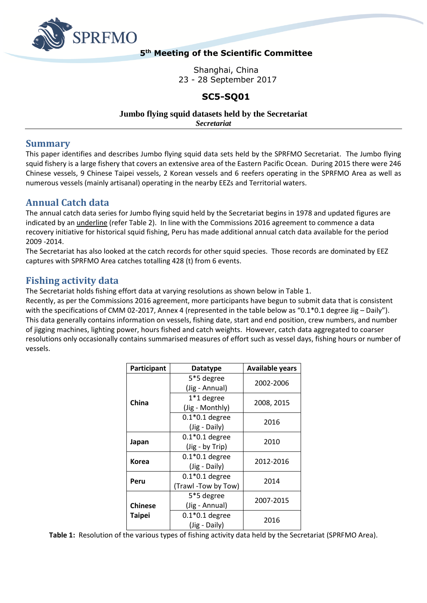

### **5 th Meeting of the Scientific Committee**

Shanghai, China 23 - 28 September 2017

### **SC5-SQ01**

#### **Jumbo flying squid datasets held by the Secretariat**

*Secretariat*

### **Summary**

This paper identifies and describes Jumbo flying squid data sets held by the SPRFMO Secretariat. The Jumbo flying squid fishery is a large fishery that covers an extensive area of the Eastern Pacific Ocean. During 2015 there were 246 Chinese vessels, 9 Chinese Taipei vessels, 2 Korean vessels and 6 reefers operating in the SPRFMO Area as well as numerous vessels (mainly artisanal) operating in the nearby EEZs and Territorial waters.

## **Annual Catch data**

The annual catch data series for Jumbo flying squid held by the Secretariat begins in 1978 and updated figures are indicated by an underline (refer Table 2). In line with the Commissions 2016 agreement to commence a data recovery initiative for historical squid fishing, Peru has made additional annual catch data available for the period 2009 -2014.

The Secretariat has also looked at the catch records for other squid species. Those records are dominated by EEZ captures with SPRFMO Area catches totalling 428 (t) from 6 events.

# **Fishing activity data**

The Secretariat holds fishing effort data at varying resolutions as shown below in Table 1.

Recently, as per the Commissions 2016 agreement, more participants have begun to submit data that is consistent with the specifications of CMM 02-2017, Annex 4 (represented in the table below as "0.1\*0.1 degree Jig – Daily"). This data generally contains information on vessels, fishing date, start and end position, crew numbers, and number of jigging machines, lighting power, hours fished and catch weights. However, catch data aggregated to coarser resolutions only occasionally contains summarised measures of effort such as vessel days, fishing hours or number of vessels.

| Participant    | <b>Datatype</b>                         | <b>Available years</b> |  |  |  |
|----------------|-----------------------------------------|------------------------|--|--|--|
|                | 5*5 degree<br>(Jig - Annual)            | 2002-2006              |  |  |  |
| China          | $1*1$ degree<br>(Jig - Monthly)         | 2008, 2015             |  |  |  |
|                | $0.1*0.1$ degree<br>(Jig - Daily)       | 2016                   |  |  |  |
| Japan          | $0.1*0.1$ degree<br>(Jig - by Trip)     | 2010                   |  |  |  |
| Korea          | $0.1*0.1$ degree<br>(Jig - Daily)       | 2012-2016              |  |  |  |
| Peru           | $0.1*0.1$ degree<br>(Trawl -Tow by Tow) | 2014                   |  |  |  |
| <b>Chinese</b> | 5*5 degree<br>(Jig - Annual)            | 2007-2015              |  |  |  |
| <b>Taipei</b>  | $0.1*0.1$ degree<br>(Jig - Daily)       | 2016                   |  |  |  |

**Table 1:** Resolution of the various types of fishing activity data held by the Secretariat (SPRFMO Area).